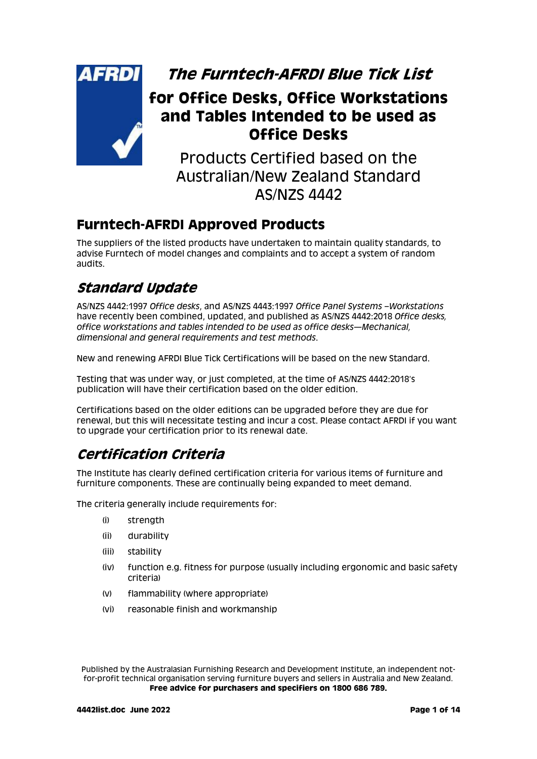

**The Furntech-AFRDI Blue Tick List**

# **for Office Desks, Office Workstations and Tables Intended to be used as Office Desks**

Products Certified based on the Australian/New Zealand Standard AS/NZS 4442

### **Furntech-AFRDI Approved Products**

The suppliers of the listed products have undertaken to maintain quality standards, to advise Furntech of model changes and complaints and to accept a system of random audits.

# **Standard Update**

AS/NZS 4442:1997 *Office desks*, and AS/NZS 4443:1997 *Office Panel Systems –Workstations*  have recently been combined, updated, and published as AS/NZS 4442:2018 *Office desks, office workstations and tables intended to be used as office desks—Mechanical, dimensional and general requirements and test methods*.

New and renewing AFRDI Blue Tick Certifications will be based on the new Standard.

Testing that was under way, or just completed, at the time of AS/NZS 4442:2018's publication will have their certification based on the older edition.

Certifications based on the older editions can be upgraded before they are due for renewal, but this will necessitate testing and incur a cost. Please contact AFRDI if you want to upgrade your certification prior to its renewal date.

# **Certification Criteria**

The Institute has clearly defined certification criteria for various items of furniture and furniture components. These are continually being expanded to meet demand.

The criteria generally include requirements for:

- (i) strength
- (ii) durability
- (iii) stability
- (iv) function e.g. fitness for purpose (usually including ergonomic and basic safety criteria)
- (v) flammability (where appropriate)
- (vi) reasonable finish and workmanship

Published by the Australasian Furnishing Research and Development Institute, an independent notfor-profit technical organisation serving furniture buyers and sellers in Australia and New Zealand. **Free advice for purchasers and specifiers on 1800 686 789.**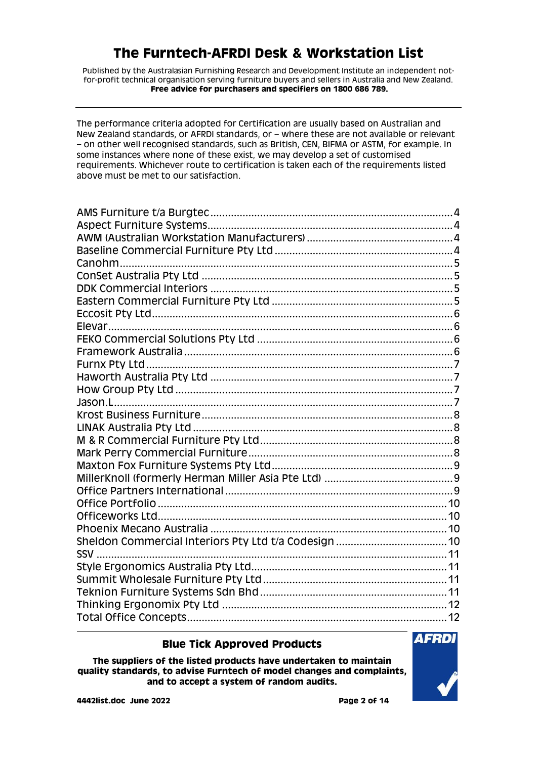Published by the Australasian Furnishing Research and Development Institute an independent notfor-profit technical organisation serving furniture buyers and sellers in Australia and New Zealand. **Free advice for purchasers and specifiers on 1800 686 789.**

The performance criteria adopted for Certification are usually based on Australian and New Zealand standards, or AFRDI standards, or – where these are not available or relevant – on other well recognised standards, such as British, CEN, BIFMA or ASTM, for example. In some instances where none of these exist, we may develop a set of customised requirements. Whichever route to certification is taken each of the requirements listed above must be met to our satisfaction.

#### **Blue Tick Approved Products**

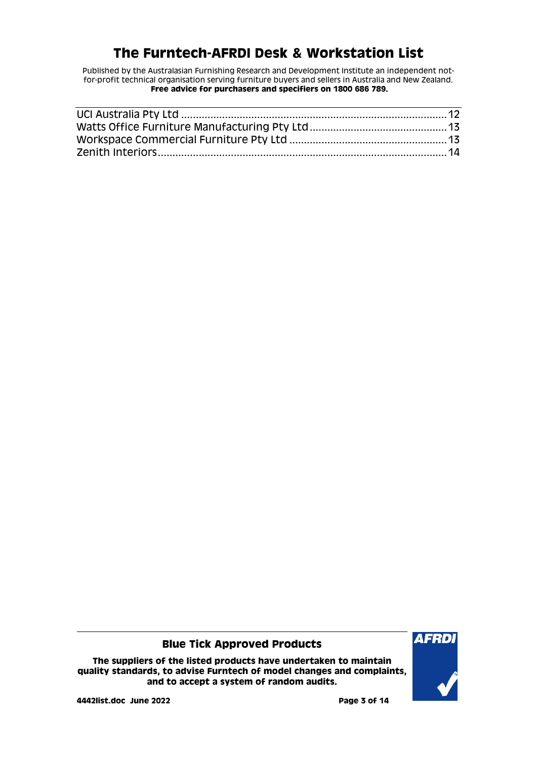Published by the Australasian Furnishing Research and Development Institute an independent notfor-profit technical organisation serving furniture buyers and sellers in Australia and New Zealand. **Free advice for purchasers and specifiers on 1800 686 789.**

#### **Blue Tick Approved Products**

**The suppliers of the listed products have undertaken to maintain quality standards, to advise Furntech of model changes and complaints, and to accept a system of random audits.**

**4442list.doc June 2022 Page 3 of 14**

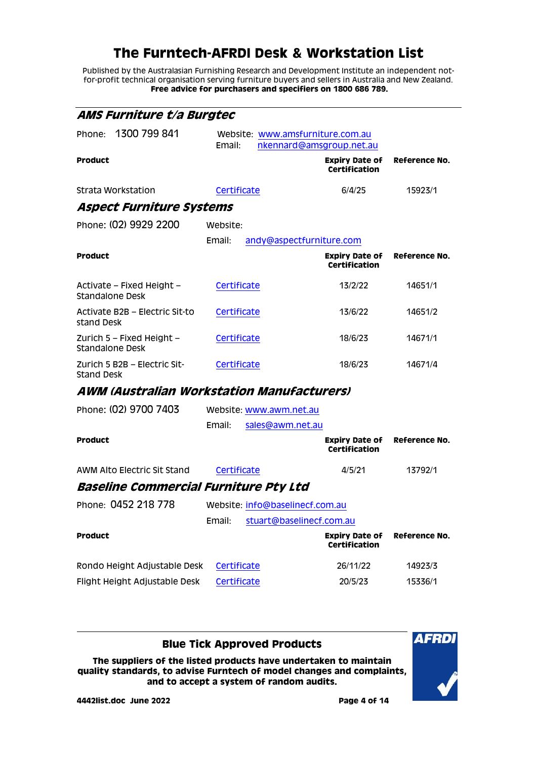Published by the Australasian Furnishing Research and Development Institute an independent notfor-profit technical organisation serving furniture buyers and sellers in Australia and New Zealand. **Free advice for purchasers and specifiers on 1800 686 789.**

<span id="page-3-2"></span><span id="page-3-1"></span><span id="page-3-0"></span>

| <i>AMS Furniture t/a Burgtec</i>                  |                                                                        |                                               |               |
|---------------------------------------------------|------------------------------------------------------------------------|-----------------------------------------------|---------------|
| 1300 799 841<br>Phone:                            | Website: www.amsfurniture.com.au<br>Email:<br>nkennard@amsgroup.net.au |                                               |               |
| <b>Product</b>                                    |                                                                        | <b>Expiry Date of</b><br><b>Certification</b> | Reference No. |
| Strata Workstation                                | Certificate                                                            | 6/4/25                                        | 15923/1       |
| Aspect Furniture Systems                          |                                                                        |                                               |               |
| Phone: (02) 9929 2200                             | Website:                                                               |                                               |               |
|                                                   | Email:<br>andy@aspectfurniture.com                                     |                                               |               |
| <b>Product</b>                                    |                                                                        | <b>Expiry Date of</b><br><b>Certification</b> | Reference No. |
| Activate - Fixed Height -<br>Standalone Desk      | Certificate                                                            | 13/2/22                                       | 14651/1       |
| Activate B2B – Electric Sit-to<br>stand Desk      | Certificate                                                            | 13/6/22                                       | 14651/2       |
| Zurich 5 - Fixed Height -<br>Standalone Desk      | Certificate                                                            | 18/6/23                                       | 14671/1       |
| Zurich 5 B2B - Electric Sit-<br><b>Stand Desk</b> | Certificate                                                            | 18/6/23                                       | 14671/4       |
| AWM (Australian Workstation Manufacturers)        |                                                                        |                                               |               |
| Phone: (02) 9700 7403                             | Website: www.awm.net.au                                                |                                               |               |
|                                                   | Email:<br>sales@awm.net.au                                             |                                               |               |
| <b>Product</b>                                    |                                                                        | <b>Expiry Date of</b><br><b>Certification</b> | Reference No. |
| AWM Alto Electric Sit Stand                       | Certificate                                                            | 4/5/21                                        | 13792/1       |
| Baseline Commercial Furniture Pty Ltd             |                                                                        |                                               |               |
| Phone: 0452 218 778                               | Website: info@baselinecf.com.au                                        |                                               |               |
|                                                   | stuart@baselinecf.com.au<br>Email:                                     |                                               |               |
| <b>Product</b>                                    |                                                                        | <b>Expiry Date of</b><br>Certification        | Reference No. |
| Rondo Height Adjustable Desk                      | Certificate                                                            | 26/11/22                                      | 14923/3       |
| Flight Height Adjustable Desk                     | Certificate                                                            | 20/5/23                                       | 15336/1       |

<span id="page-3-3"></span>**Blue Tick Approved Products**

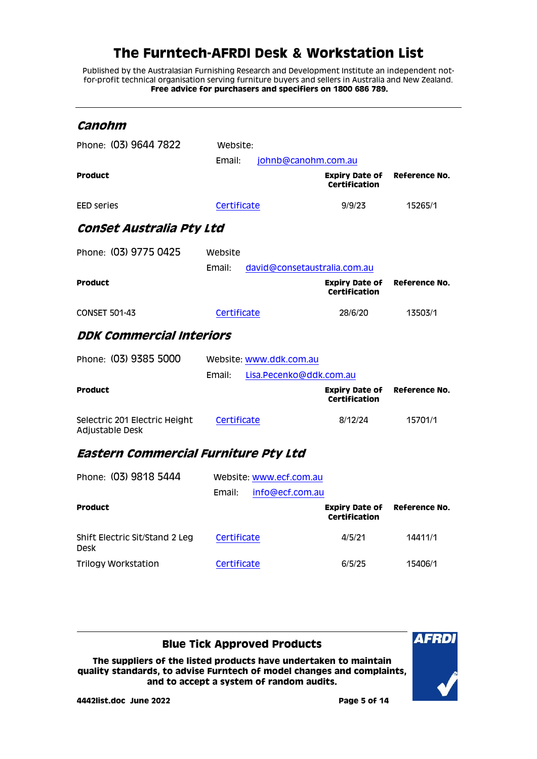Published by the Australasian Furnishing Research and Development Institute an independent notfor-profit technical organisation serving furniture buyers and sellers in Australia and New Zealand. **Free advice for purchasers and specifiers on 1800 686 789.**

<span id="page-4-2"></span><span id="page-4-1"></span><span id="page-4-0"></span>

| Canohm                                           |                                        |                                               |               |
|--------------------------------------------------|----------------------------------------|-----------------------------------------------|---------------|
| Phone: (03) 9644 7822                            | Website:                               |                                               |               |
|                                                  | Email:<br>johnb@canohm.com.au          |                                               |               |
| Product                                          |                                        | <b>Expiry Date of</b><br><b>Certification</b> | Reference No. |
| EED series                                       | Certificate                            | 9/9/23                                        | 15265/1       |
| Conset Australia Pty Ltd                         |                                        |                                               |               |
| Phone: (03) 9775 0425                            | Website                                |                                               |               |
|                                                  | Email:<br>david@consetaustralia.com.au |                                               |               |
| <b>Product</b>                                   |                                        | <b>Expiry Date of</b><br><b>Certification</b> | Reference No. |
| <b>CONSET 501-43</b>                             | Certificate                            | 28/6/20                                       | 13503/1       |
| <i><b>DDK Commercial Interiors</b></i>           |                                        |                                               |               |
| Phone: (03) 9385 5000                            | Website: www.ddk.com.au                |                                               |               |
|                                                  | Email:<br>Lisa.Pecenko@ddk.com.au      |                                               |               |
| <b>Product</b>                                   |                                        | <b>Expiry Date of</b><br>Certification        | Reference No. |
| Selectric 201 Electric Height<br>Adjustable Desk | Certificate                            | 8/12/24                                       | 15701/1       |
| Eastern Commercial Furniture Pty Ltd             |                                        |                                               |               |
| Phone: (03) 9818 5444                            | Website: www.ecf.com.au                |                                               |               |
|                                                  | Email:<br>info@ecf.com.au              |                                               |               |
| <b>Product</b>                                   |                                        | <b>Expiry Date of</b><br><b>Certification</b> | Reference No. |
| Shift Electric Sit/Stand 2 Leg<br><b>Desk</b>    | Certificate                            | 4/5/21                                        | 14411/1       |
| <b>Trilogy Workstation</b>                       | Certificate                            | 6/5/25                                        | 15406/1       |

#### <span id="page-4-3"></span>**Blue Tick Approved Products**

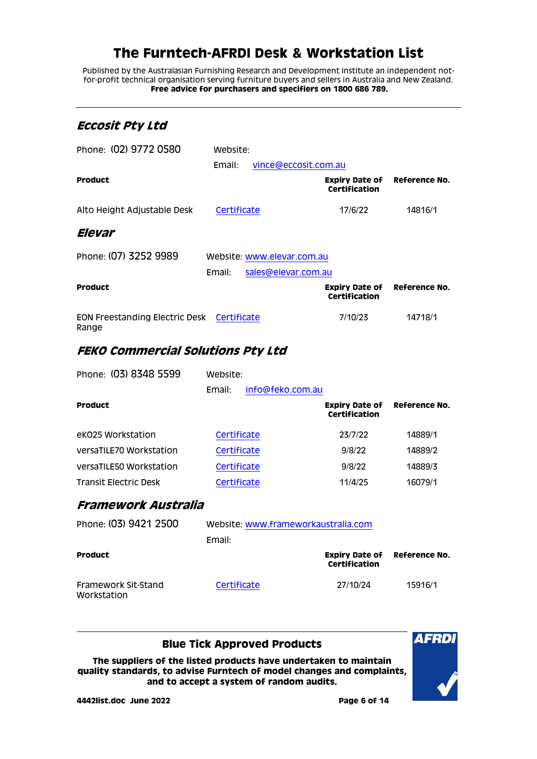Published by the Australasian Furnishing Research and Development Institute an independent notfor-profit technical organisation serving furniture buyers and sellers in Australia and New Zealand. **Free advice for purchasers and specifiers on 1800 686 789.**

#### <span id="page-5-0"></span>**Eccosit Pty Ltd**

<span id="page-5-1"></span>

| Phone: (02) 9772 0580                          | Website:    |                            |                                               |               |
|------------------------------------------------|-------------|----------------------------|-----------------------------------------------|---------------|
|                                                | Email:      | vince@eccosit.com.au       |                                               |               |
| Product                                        |             |                            | <b>Expiry Date of</b><br><b>Certification</b> | Reference No. |
| Alto Height Adjustable Desk                    | Certificate |                            | 17/6/22                                       | 14816/1       |
| Elevar                                         |             |                            |                                               |               |
| Phone: (07) 3252 9989                          |             | Website: www.elevar.com.au |                                               |               |
|                                                | Email:      | sales@elevar.com.au        |                                               |               |
| <b>Product</b>                                 |             |                            | <b>Expiry Date of</b><br><b>Certification</b> | Reference No. |
| <b>EON Freestanding Electric Desk</b><br>Range | Certificate |                            | 7/10/23                                       | 14718/1       |

### <span id="page-5-2"></span>**FEKO Commercial Solutions Pty Ltd**

| Phone: (03) 8348 5599   | Website:    |                  |                                        |               |
|-------------------------|-------------|------------------|----------------------------------------|---------------|
|                         | Email:      | info@feko.com.au |                                        |               |
| <b>Product</b>          |             |                  | <b>Expiry Date of</b><br>Certification | Reference No. |
| eK025 Workstation       | Certificate |                  | 23/7/22                                | 14889/1       |
| versaTILE70 Workstation | Certificate |                  | 9/8/22                                 | 14889/2       |
| versaTILE50 Workstation | Certificate |                  | 9/8/22                                 | 14889/3       |
| Transit Electric Desk   | Certificate |                  | 11/4/25                                | 16079/1       |
|                         |             |                  |                                        |               |

#### <span id="page-5-3"></span>**Framework Australia**

| Phone: (03) 9421 2500              | Website: www.frameworkaustralia.com |               |                                     |
|------------------------------------|-------------------------------------|---------------|-------------------------------------|
|                                    | Email:                              |               |                                     |
| <b>Product</b>                     |                                     | Certification | <b>Expiry Date of Reference No.</b> |
| Framework Sit-Stand<br>Workstation | Certificate                         | 27/10/24      | 15916/1                             |

**Blue Tick Approved Products**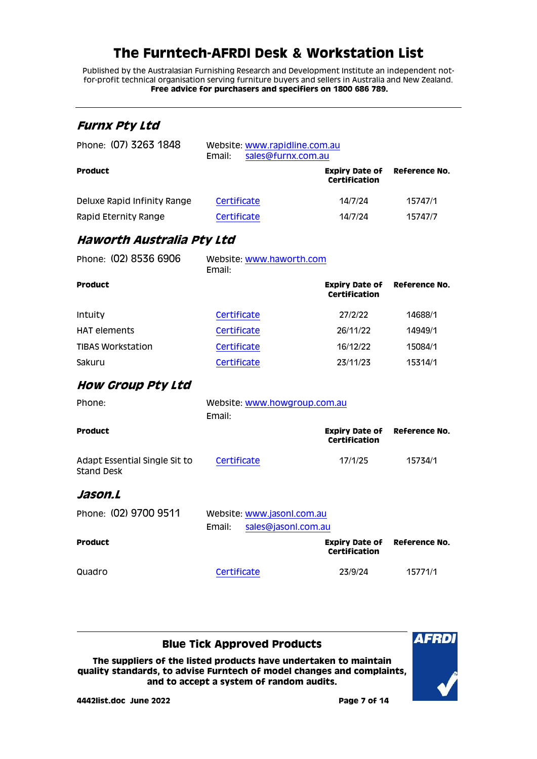Published by the Australasian Furnishing Research and Development Institute an independent notfor-profit technical organisation serving furniture buyers and sellers in Australia and New Zealand. **Free advice for purchasers and specifiers on 1800 686 789.**

#### <span id="page-6-0"></span>**Furnx Pty Ltd**

| Phone: (07) 3263 1848       | Website: www.rapidline.com.au<br>Email:<br>sales@furnx.com.au |                                        |                      |
|-----------------------------|---------------------------------------------------------------|----------------------------------------|----------------------|
| <b>Product</b>              |                                                               | <b>Expiry Date of</b><br>Certification | <b>Reference No.</b> |
| Deluxe Rapid Infinity Range | Certificate                                                   | 14/7/24                                | 15747/1              |
| Rapid Eternity Range        | Certificate                                                   | 14/7/24                                | 15747/7              |

### <span id="page-6-1"></span>**Haworth Australia Pty Ltd**

| Phone: (02) 8536 6906    | Website: www.haworth.com<br>Email: |                                        |               |  |
|--------------------------|------------------------------------|----------------------------------------|---------------|--|
| <b>Product</b>           |                                    | <b>Expiry Date of</b><br>Certification | Reference No. |  |
| Intuity                  | Certificate                        | 27/2/22                                | 14688/1       |  |
| <b>HAT elements</b>      | Certificate                        | 26/11/22                               | 14949/1       |  |
| <b>TIBAS Workstation</b> | Certificate                        | 16/12/22                               | 15084/1       |  |
| Sakuru                   | Certificate                        | 23/11/23                               | 15314/1       |  |
|                          |                                    |                                        |               |  |

#### <span id="page-6-2"></span>**How Group Pty Ltd**

<span id="page-6-3"></span>

| Phone:                                             | Website: www.howgroup.com.au<br>Email:                      |                                                             |         |
|----------------------------------------------------|-------------------------------------------------------------|-------------------------------------------------------------|---------|
| Product                                            |                                                             | <b>Expiry Date of Reference No.</b><br>Certification        |         |
| Adapt Essential Single Sit to<br><b>Stand Desk</b> | Certificate                                                 | 17/1/25                                                     | 15734/1 |
| Jason.L                                            |                                                             |                                                             |         |
| Phone: (02) 9700 9511                              | Website: www.jasonl.com.au<br>Email:<br>sales@jasonl.com.au |                                                             |         |
| <b>Product</b>                                     |                                                             | <b>Expiry Date of Reference No.</b><br><b>Certification</b> |         |

### Quadro [Certificate](http://www.furntech.org.au/fs/index.php?dir=15000/15700/&file=15771-1_210923_ct.pdf) 23/9/24 15771/1

#### **Blue Tick Approved Products The suppliers of the listed products have undertaken to maintain quality standards, to advise Furntech of model changes and complaints,**

**and to accept a system of random audits.**

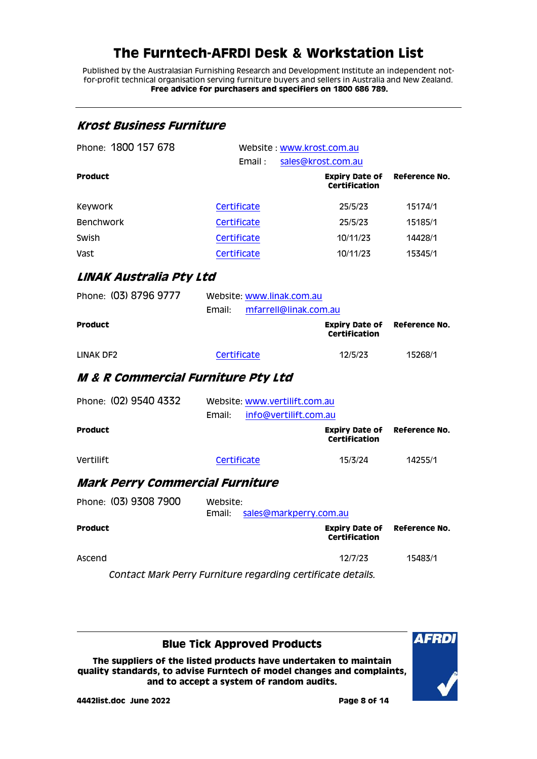Published by the Australasian Furnishing Research and Development Institute an independent notfor-profit technical organisation serving furniture buyers and sellers in Australia and New Zealand. **Free advice for purchasers and specifiers on 1800 686 789.**

<span id="page-7-2"></span><span id="page-7-1"></span><span id="page-7-0"></span>

| <b>Krost Business Furniture</b>               |                                                                  |                                               |               |  |
|-----------------------------------------------|------------------------------------------------------------------|-----------------------------------------------|---------------|--|
| Phone: 1800 157 678                           | Website: www.krost.com.au                                        |                                               |               |  |
|                                               | Email:                                                           | sales@krost.com.au                            |               |  |
| <b>Product</b>                                |                                                                  | <b>Expiry Date of</b><br><b>Certification</b> | Reference No. |  |
| Keywork                                       | Certificate                                                      | 25/5/23                                       | 15174/1       |  |
| <b>Benchwork</b>                              | Certificate                                                      | 25/5/23                                       | 15185/1       |  |
| Swish                                         | Certificate                                                      | 10/11/23                                      | 14428/1       |  |
| Vast                                          | Certificate                                                      | 10/11/23                                      | 15345/1       |  |
| LINAK Australia Pty Ltd                       |                                                                  |                                               |               |  |
| Phone: (03) 8796 9777                         | Website: www.linak.com.au<br>Email:<br>mfarrell@linak.com.au     |                                               |               |  |
| <b>Product</b>                                |                                                                  | <b>Expiry Date of</b><br><b>Certification</b> | Reference No. |  |
| LINAK DF2                                     | Certificate                                                      | 12/5/23                                       | 15268/1       |  |
| <b>M &amp; R Commercial Furniture Pty Ltd</b> |                                                                  |                                               |               |  |
| Phone: (02) 9540 4332                         | Website: www.vertilift.com.au<br>Email:<br>info@vertilift.com.au |                                               |               |  |
| <b>Product</b>                                |                                                                  | <b>Expiry Date of</b><br><b>Certification</b> | Reference No. |  |
| Vertilift                                     | Certificate                                                      | 15/3/24                                       | 14255/1       |  |
| <b>Mark Perry Commercial Furniture</b>        |                                                                  |                                               |               |  |
| Phone: (03) 9308 7900                         | Website:<br>Email:<br>sales@markperry.com.au                     |                                               |               |  |
| <b>Product</b>                                |                                                                  | <b>Expiry Date of</b><br><b>Certification</b> | Reference No. |  |
| Ascend                                        |                                                                  | 12/7/23                                       | 15483/1       |  |
|                                               | Contact Mark Perry Furniture regarding certificate details.      |                                               |               |  |

<span id="page-7-3"></span>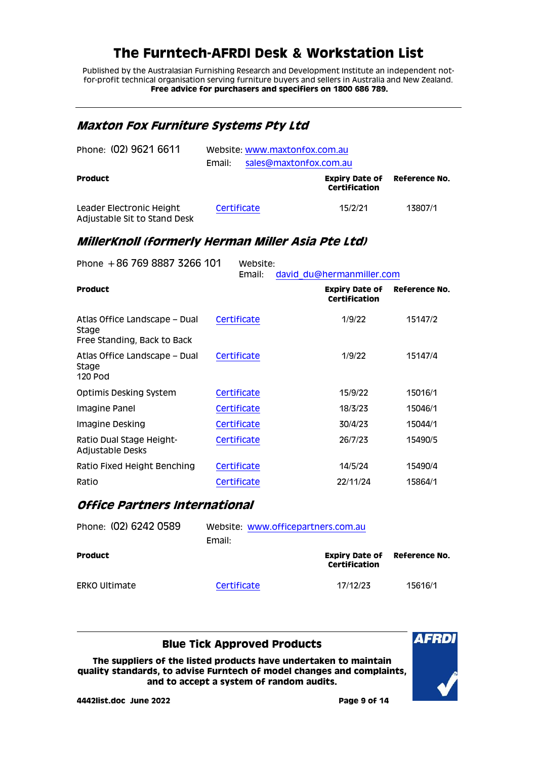Published by the Australasian Furnishing Research and Development Institute an independent notfor-profit technical organisation serving furniture buyers and sellers in Australia and New Zealand. **Free advice for purchasers and specifiers on 1800 686 789.**

#### <span id="page-8-0"></span>**Maxton Fox Furniture Systems Pty Ltd**

| Phone: (02) 9621 6611                                    | Website: www.maxtonfox.com.au<br>sales@maxtonfox.com.au<br>Email: |             |                                        |               |
|----------------------------------------------------------|-------------------------------------------------------------------|-------------|----------------------------------------|---------------|
| <b>Product</b>                                           |                                                                   |             | <b>Expiry Date of</b><br>Certification | Reference No. |
| Leader Electronic Height<br>Adjustable Sit to Stand Desk |                                                                   | Certificate | 15/2/21                                | 13807/1       |

#### <span id="page-8-1"></span>**MillerKnoll (formerly Herman Miller Asia Pte Ltd)**

| Phone $+86$ 769 8887 3266 101                                         | Website:<br>Email: | david du@hermanmiller.com                     |               |
|-----------------------------------------------------------------------|--------------------|-----------------------------------------------|---------------|
| <b>Product</b>                                                        |                    | <b>Expiry Date of</b><br><b>Certification</b> | Reference No. |
| Atlas Office Landscape – Dual<br>Stage<br>Free Standing, Back to Back | Certificate        | 1/9/22                                        | 15147/2       |
| Atlas Office Landscape – Dual<br>Stage<br>120 Pod                     | Certificate        | 1/9/22                                        | 15147/4       |
| <b>Optimis Desking System</b>                                         | Certificate        | 15/9/22                                       | 15016/1       |
| Imagine Panel                                                         | Certificate        | 18/3/23                                       | 15046/1       |
| Imagine Desking                                                       | Certificate        | 30/4/23                                       | 15044/1       |
| Ratio Dual Stage Height-<br>Adjustable Desks                          | Certificate        | 26/7/23                                       | 15490/5       |
| Ratio Fixed Height Benching                                           | Certificate        | 14/5/24                                       | 15490/4       |
| Ratio                                                                 | Certificate        | 22/11/24                                      | 15864/1       |

#### <span id="page-8-2"></span>**Office Partners International**

| Phone: (02) 6242 0589 | Website: www.officepartners.com.au<br>Email: |                                                      |         |  |
|-----------------------|----------------------------------------------|------------------------------------------------------|---------|--|
| <b>Product</b>        |                                              | <b>Expiry Date of Reference No.</b><br>Certification |         |  |
| <b>ERKO Ultimate</b>  | Certificate                                  | 17/12/23                                             | 15616/1 |  |

**Blue Tick Approved Products**

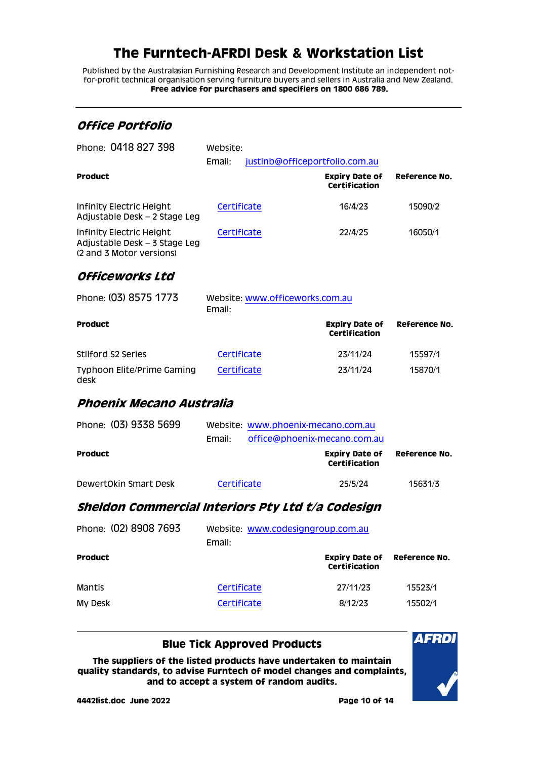Published by the Australasian Furnishing Research and Development Institute an independent notfor-profit technical organisation serving furniture buyers and sellers in Australia and New Zealand. **Free advice for purchasers and specifiers on 1800 686 789.**

### <span id="page-9-0"></span>**Office Portfolio**

| Phone: 0418 827 398                                                                   | Website:    |                                 |                                        |               |  |
|---------------------------------------------------------------------------------------|-------------|---------------------------------|----------------------------------------|---------------|--|
|                                                                                       | Email:      |                                 | justinb@officeportfolio.com.au         |               |  |
| <b>Product</b>                                                                        |             |                                 | <b>Expiry Date of</b><br>Certification | Reference No. |  |
| Infinity Electric Height<br>Adjustable Desk – 2 Stage Leg                             |             | Certificate                     | 16/4/23                                | 15090/2       |  |
| Infinity Electric Height<br>Adjustable Desk – 3 Stage Leg<br>(2 and 3 Motor versions) | Certificate |                                 | 22/4/25                                | 16050/1       |  |
| Officeworks Ltd                                                                       |             |                                 |                                        |               |  |
| Phone: (03) 8575 1773                                                                 |             | Website: www.officeworks.com.au |                                        |               |  |

<span id="page-9-1"></span>

|                                    | Email:      |                                        |               |  |
|------------------------------------|-------------|----------------------------------------|---------------|--|
| <b>Product</b>                     |             | <b>Expiry Date of</b><br>Certification | Reference No. |  |
| Stilford S2 Series                 | Certificate | 23/11/24                               | 15597/1       |  |
| Typhoon Elite/Prime Gaming<br>desk | Certificate | 23/11/24                               | 15870/1       |  |

### <span id="page-9-2"></span>**Phoenix Mecano Australia**

| Phone: (03) 9338 5699 |             | Website: www.phoenix-mecano.com.au     |               |  |
|-----------------------|-------------|----------------------------------------|---------------|--|
|                       | Email:      | office@phoenix-mecano.com.au           |               |  |
| <b>Product</b>        |             | <b>Expiry Date of</b><br>Certification | Reference No. |  |
| DewertOkin Smart Desk | Certificate | 25/5/24                                | 15631/3       |  |

#### <span id="page-9-3"></span>**Sheldon Commercial Interiors Pty Ltd t/a Codesign**

| Phone: (02) 8908 7693 | Website: www.codesigngroup.com.au<br>Email: |                                                      |         |  |
|-----------------------|---------------------------------------------|------------------------------------------------------|---------|--|
| <b>Product</b>        |                                             | <b>Expiry Date of Reference No.</b><br>Certification |         |  |
| Mantis                | Certificate                                 | 27/11/23                                             | 15523/1 |  |
| <b>My Desk</b>        | Certificate                                 | 8/12/23                                              | 15502/1 |  |

#### **Blue Tick Approved Products**

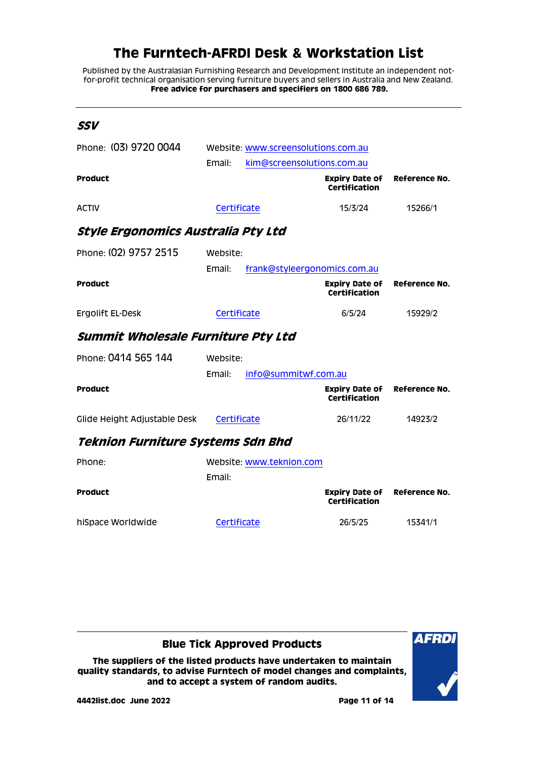Published by the Australasian Furnishing Research and Development Institute an independent notfor-profit technical organisation serving furniture buyers and sellers in Australia and New Zealand. **Free advice for purchasers and specifiers on 1800 686 789.**

<span id="page-10-2"></span><span id="page-10-1"></span><span id="page-10-0"></span>

| SSV                                |                                        |                                               |               |
|------------------------------------|----------------------------------------|-----------------------------------------------|---------------|
| Phone: (03) 9720 0044              | Website: www.screensolutions.com.au    |                                               |               |
|                                    | Email:<br>kim@screensolutions.com.au   |                                               |               |
| <b>Product</b>                     |                                        | <b>Expiry Date of</b><br><b>Certification</b> | Reference No. |
| <b>ACTIV</b>                       | Certificate                            | 15/3/24                                       | 15266/1       |
| Style Ergonomics Australia Pty Ltd |                                        |                                               |               |
| Phone: (02) 9757 2515              | Website:                               |                                               |               |
|                                    | Email:<br>frank@styleergonomics.com.au |                                               |               |
| <b>Product</b>                     |                                        | <b>Expiry Date of</b><br><b>Certification</b> | Reference No. |
| Ergolift EL-Desk                   | Certificate                            | 6/5/24                                        | 15929/2       |
| Summit Wholesale Furniture Pty Ltd |                                        |                                               |               |
| Phone: 0414 565 144                | Website:                               |                                               |               |
|                                    | info@summitwf.com.au<br>Email:         |                                               |               |
| <b>Product</b>                     |                                        | <b>Expiry Date of</b><br>Certification        | Reference No. |
| Glide Height Adjustable Desk       | Certificate                            | 26/11/22                                      | 14923/2       |
| Teknion Furniture Systems Sdn Bhd  |                                        |                                               |               |
| Phone:                             | Website: www.teknion.com               |                                               |               |
|                                    | Email:                                 |                                               |               |
| <b>Product</b>                     |                                        | <b>Expiry Date of</b><br>Certification        | Reference No. |
| hiSpace Worldwide                  | Certificate                            | 26/5/25                                       | 15341/1       |

<span id="page-10-3"></span>

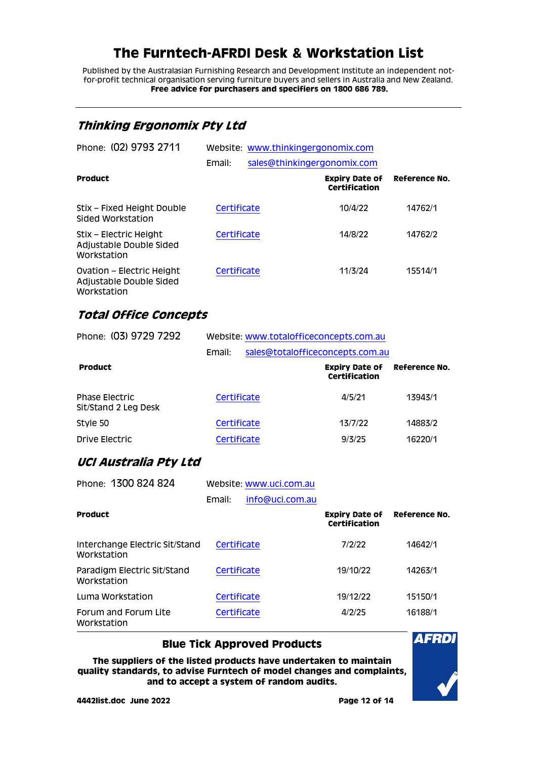Published by the Australasian Furnishing Research and Development Institute an independent notfor-profit technical organisation serving furniture buyers and sellers in Australia and New Zealand. **Free advice for purchasers and specifiers on 1800 686 789.**

### <span id="page-11-0"></span>**Thinking Ergonomix Pty Ltd**

| Phone: (02) 9793 2711                                               | Website: www.thinkingergonomix.com |                             |                                        |               |
|---------------------------------------------------------------------|------------------------------------|-----------------------------|----------------------------------------|---------------|
|                                                                     | Email:                             | sales@thinkingergonomix.com |                                        |               |
| <b>Product</b>                                                      |                                    |                             | <b>Expiry Date of</b><br>Certification | Reference No. |
| Stix – Fixed Height Double<br>Sided Workstation                     | Certificate                        |                             | 10/4/22                                | 14762/1       |
| Stix – Electric Height<br>Adjustable Double Sided<br>Workstation    | Certificate                        |                             | 14/8/22                                | 14762/2       |
| Ovation – Electric Height<br>Adjustable Double Sided<br>Workstation | Certificate                        |                             | 11/3/24                                | 15514/1       |

#### <span id="page-11-1"></span>**Total Office Concepts**

| Phone: (03) 9729 7292                         |             | Website: www.totalofficeconcepts.com.au |                      |  |  |
|-----------------------------------------------|-------------|-----------------------------------------|----------------------|--|--|
|                                               | Email:      | sales@totalofficeconcepts.com.au        |                      |  |  |
| <b>Product</b>                                |             | <b>Expiry Date of</b><br>Certification  | <b>Reference No.</b> |  |  |
| <b>Phase Electric</b><br>Sit/Stand 2 Leg Desk | Certificate | 4/5/21                                  | 13943/1              |  |  |
| Style 50                                      | Certificate | 13/7/22                                 | 14883/2              |  |  |
| Drive Electric                                | Certificate | 9/3/25                                  | 16220/1              |  |  |

#### <span id="page-11-2"></span>**UCI Australia Pty Ltd**

| Phone: 1300 824 824                           | Website: www.uci.com.au |                 |                                        |               |
|-----------------------------------------------|-------------------------|-----------------|----------------------------------------|---------------|
|                                               | Email:                  | info@uci.com.au |                                        |               |
| <b>Product</b>                                |                         |                 | <b>Expiry Date of</b><br>Certification | Reference No. |
| Interchange Electric Sit/Stand<br>Workstation | Certificate             |                 | 7/2/22                                 | 14642/1       |
| Paradigm Electric Sit/Stand<br>Workstation    | Certificate             |                 | 19/10/22                               | 14263/1       |
| Luma Workstation                              | Certificate             |                 | 19/12/22                               | 15150/1       |
| Forum and Forum Lite<br>Workstation           | Certificate             |                 | 4/2/25                                 | 16188/1       |

#### **Blue Tick Approved Products**

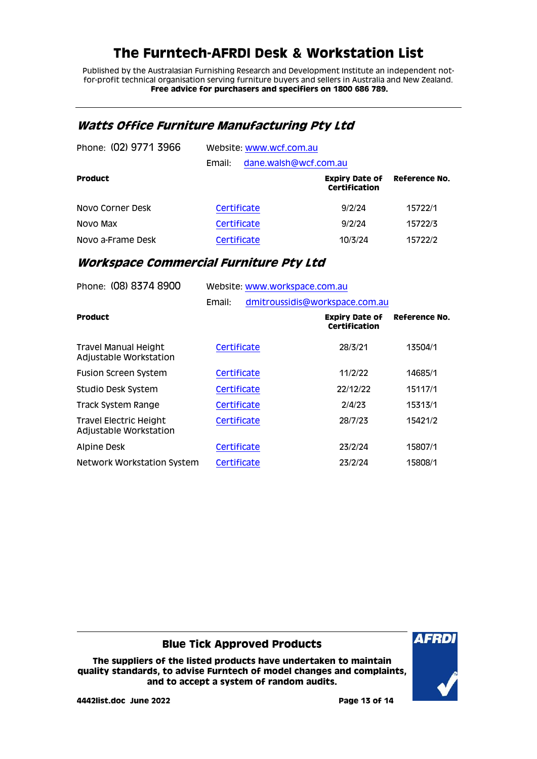Published by the Australasian Furnishing Research and Development Institute an independent notfor-profit technical organisation serving furniture buyers and sellers in Australia and New Zealand. **Free advice for purchasers and specifiers on 1800 686 789.**

#### <span id="page-12-0"></span>**Watts Office Furniture Manufacturing Pty Ltd**

| Phone: (02) 9771 3966 | Website: www.wcf.com.au |                       |                                        |               |  |  |
|-----------------------|-------------------------|-----------------------|----------------------------------------|---------------|--|--|
|                       | Email:                  | dane.walsh@wcf.com.au |                                        |               |  |  |
| <b>Product</b>        |                         |                       | <b>Expiry Date of</b><br>Certification | Reference No. |  |  |
| Novo Corner Desk      |                         | Certificate           | 9/2/24                                 | 15722/1       |  |  |
| Novo Max              |                         | Certificate           | 9/2/24                                 | 15722/3       |  |  |
| Novo a-Frame Desk     |                         | Certificate           | 10/3/24                                | 15722/2       |  |  |

### <span id="page-12-1"></span>**Workspace Commercial Furniture Pty Ltd**

| Website: www.workspace.com.au |  |                                                          |                                |  |
|-------------------------------|--|----------------------------------------------------------|--------------------------------|--|
| Email:                        |  |                                                          |                                |  |
|                               |  | <b>Expiry Date of</b><br><b>Certification</b>            | Reference No.                  |  |
|                               |  | 28/3/21                                                  | 13504/1                        |  |
| Certificate                   |  | 11/2/22                                                  | 14685/1                        |  |
| Certificate                   |  | 22/12/22                                                 | 15117/1                        |  |
|                               |  | 2/4/23                                                   | 15313/1                        |  |
| Certificate                   |  | 28/7/23                                                  | 15421/2                        |  |
|                               |  | 23/2/24                                                  | 15807/1                        |  |
|                               |  | 23/2/24                                                  | 15808/1                        |  |
|                               |  | Certificate<br>Certificate<br>Certificate<br>Certificate | dmitroussidis@workspace.com.au |  |

**Blue Tick Approved Products**